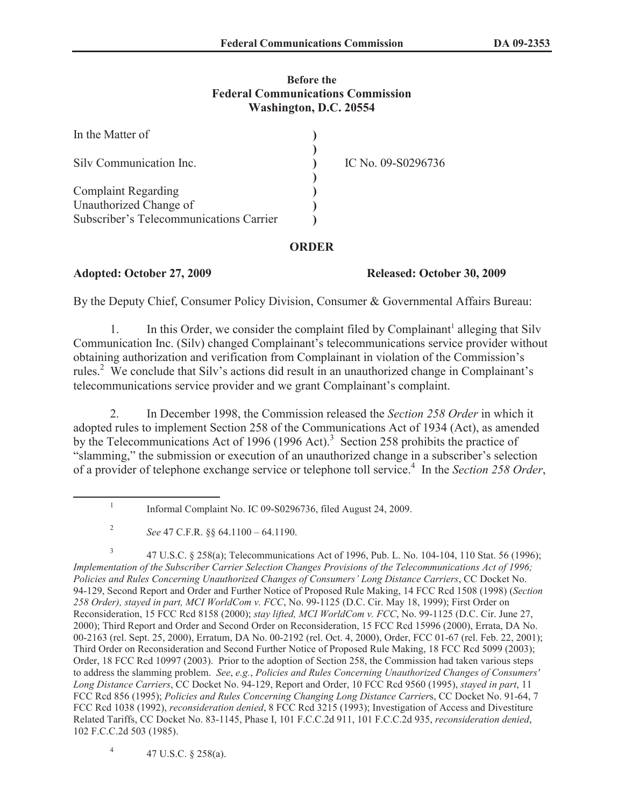## **Before the Federal Communications Commission Washington, D.C. 20554**

| In the Matter of                        |                    |
|-----------------------------------------|--------------------|
| Silv Communication Inc.                 | IC No. 09-S0296736 |
| <b>Complaint Regarding</b>              |                    |
| Unauthorized Change of                  |                    |
| Subscriber's Telecommunications Carrier |                    |

## **ORDER**

**Adopted: October 27, 2009 Released: October 30, 2009**

By the Deputy Chief, Consumer Policy Division, Consumer & Governmental Affairs Bureau:

1. In this Order, we consider the complaint filed by Complainant<sup>1</sup> alleging that Silv Communication Inc. (Silv) changed Complainant's telecommunications service provider without obtaining authorization and verification from Complainant in violation of the Commission's rules.<sup>2</sup> We conclude that Silv's actions did result in an unauthorized change in Complainant's telecommunications service provider and we grant Complainant's complaint.

2. In December 1998, the Commission released the *Section 258 Order* in which it adopted rules to implement Section 258 of the Communications Act of 1934 (Act), as amended by the Telecommunications Act of 1996 (1996 Act).<sup>3</sup> Section 258 prohibits the practice of "slamming," the submission or execution of an unauthorized change in a subscriber's selection of a provider of telephone exchange service or telephone toll service.<sup>4</sup> In the *Section 258 Order*,

4 47 U.S.C. § 258(a).

<sup>1</sup> Informal Complaint No. IC 09-S0296736, filed August 24, 2009.

<sup>2</sup> *See* 47 C.F.R. §§ 64.1100 – 64.1190.

<sup>3</sup> 47 U.S.C. § 258(a); Telecommunications Act of 1996, Pub. L. No. 104-104, 110 Stat. 56 (1996); *Implementation of the Subscriber Carrier Selection Changes Provisions of the Telecommunications Act of 1996; Policies and Rules Concerning Unauthorized Changes of Consumers' Long Distance Carriers*, CC Docket No. 94-129, Second Report and Order and Further Notice of Proposed Rule Making, 14 FCC Rcd 1508 (1998) (*Section 258 Order), stayed in part, MCI WorldCom v. FCC*, No. 99-1125 (D.C. Cir. May 18, 1999); First Order on Reconsideration, 15 FCC Rcd 8158 (2000); *stay lifted, MCI WorldCom v. FCC*, No. 99-1125 (D.C. Cir. June 27, 2000); Third Report and Order and Second Order on Reconsideration, 15 FCC Rcd 15996 (2000), Errata, DA No. 00-2163 (rel. Sept. 25, 2000), Erratum, DA No. 00-2192 (rel. Oct. 4, 2000), Order, FCC 01-67 (rel. Feb. 22, 2001); Third Order on Reconsideration and Second Further Notice of Proposed Rule Making, 18 FCC Rcd 5099 (2003); Order, 18 FCC Rcd 10997 (2003). Prior to the adoption of Section 258, the Commission had taken various steps to address the slamming problem. *See*, *e.g.*, *Policies and Rules Concerning Unauthorized Changes of Consumers' Long Distance Carriers*, CC Docket No. 94-129, Report and Order, 10 FCC Rcd 9560 (1995), *stayed in part*, 11 FCC Rcd 856 (1995); *Policies and Rules Concerning Changing Long Distance Carrier*s, CC Docket No. 91-64, 7 FCC Rcd 1038 (1992), *reconsideration denied*, 8 FCC Rcd 3215 (1993); Investigation of Access and Divestiture Related Tariffs, CC Docket No. 83-1145, Phase I, 101 F.C.C.2d 911, 101 F.C.C.2d 935, *reconsideration denied*, 102 F.C.C.2d 503 (1985).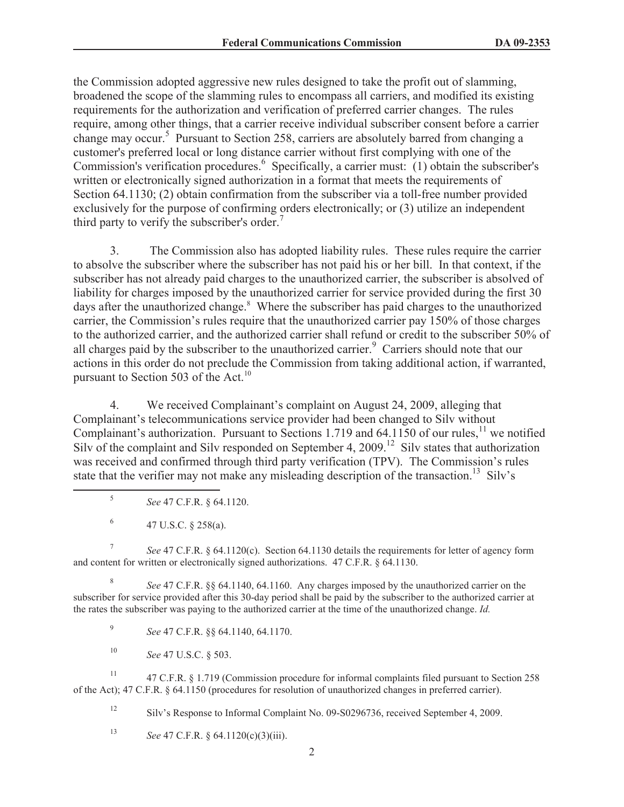the Commission adopted aggressive new rules designed to take the profit out of slamming, broadened the scope of the slamming rules to encompass all carriers, and modified its existing requirements for the authorization and verification of preferred carrier changes. The rules require, among other things, that a carrier receive individual subscriber consent before a carrier change may occur.<sup>5</sup> Pursuant to Section 258, carriers are absolutely barred from changing a customer's preferred local or long distance carrier without first complying with one of the Commission's verification procedures.<sup>6</sup> Specifically, a carrier must: (1) obtain the subscriber's written or electronically signed authorization in a format that meets the requirements of Section 64.1130; (2) obtain confirmation from the subscriber via a toll-free number provided exclusively for the purpose of confirming orders electronically; or (3) utilize an independent third party to verify the subscriber's order.<sup>7</sup>

3. The Commission also has adopted liability rules. These rules require the carrier to absolve the subscriber where the subscriber has not paid his or her bill. In that context, if the subscriber has not already paid charges to the unauthorized carrier, the subscriber is absolved of liability for charges imposed by the unauthorized carrier for service provided during the first 30 days after the unauthorized change.<sup>8</sup> Where the subscriber has paid charges to the unauthorized carrier, the Commission's rules require that the unauthorized carrier pay 150% of those charges to the authorized carrier, and the authorized carrier shall refund or credit to the subscriber 50% of all charges paid by the subscriber to the unauthorized carrier.<sup>9</sup> Carriers should note that our actions in this order do not preclude the Commission from taking additional action, if warranted, pursuant to Section 503 of the Act.<sup>10</sup>

4. We received Complainant's complaint on August 24, 2009, alleging that Complainant's telecommunications service provider had been changed to Silv without Complainant's authorization. Pursuant to Sections 1.719 and  $64.1150$  of our rules,<sup>11</sup> we notified Silv of the complaint and Silv responded on September 4, 2009.<sup>12</sup> Silv states that authorization was received and confirmed through third party verification (TPV). The Commission's rules state that the verifier may not make any misleading description of the transaction.<sup>13</sup> Silv's

- 5 *See* 47 C.F.R. § 64.1120.
- 6 47 U.S.C. § 258(a).

7 *See* 47 C.F.R. § 64.1120(c). Section 64.1130 details the requirements for letter of agency form and content for written or electronically signed authorizations. 47 C.F.R. § 64.1130.

8 *See* 47 C.F.R. §§ 64.1140, 64.1160. Any charges imposed by the unauthorized carrier on the subscriber for service provided after this 30-day period shall be paid by the subscriber to the authorized carrier at the rates the subscriber was paying to the authorized carrier at the time of the unauthorized change. *Id.*

9 *See* 47 C.F.R. §§ 64.1140, 64.1170.

<sup>10</sup> *See* 47 U.S.C. § 503.

<sup>11</sup> 47 C.F.R. § 1.719 (Commission procedure for informal complaints filed pursuant to Section 258 of the Act); 47 C.F.R. § 64.1150 (procedures for resolution of unauthorized changes in preferred carrier).

<sup>12</sup> Silv's Response to Informal Complaint No. 09-S0296736, received September 4, 2009.

<sup>13</sup> *See* 47 C.F.R. § 64.1120(c)(3)(iii).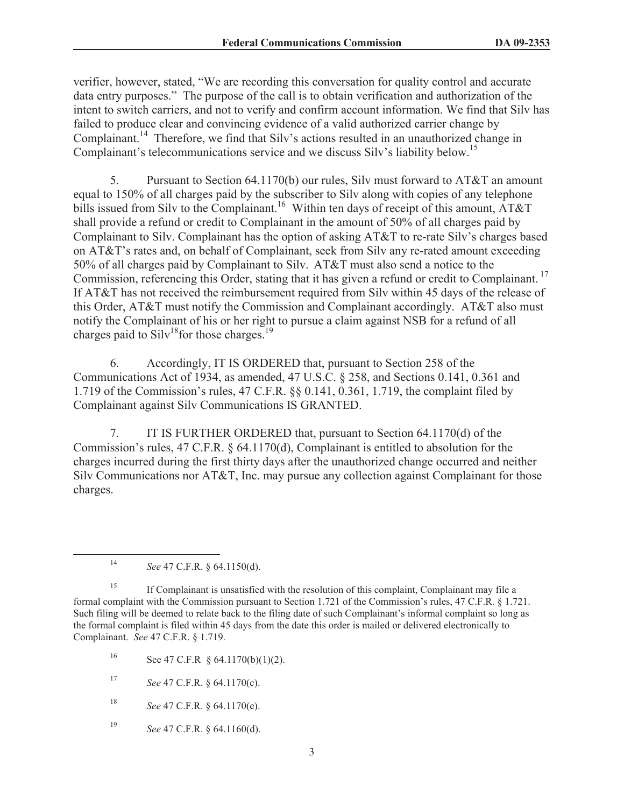verifier, however, stated, "We are recording this conversation for quality control and accurate data entry purposes." The purpose of the call is to obtain verification and authorization of the intent to switch carriers, and not to verify and confirm account information. We find that Silv has failed to produce clear and convincing evidence of a valid authorized carrier change by Complainant.<sup>14</sup> Therefore, we find that Silv's actions resulted in an unauthorized change in Complainant's telecommunications service and we discuss Silv's liability below.<sup>15</sup>

5. Pursuant to Section 64.1170(b) our rules, Silv must forward to AT&T an amount equal to 150% of all charges paid by the subscriber to Silv along with copies of any telephone bills issued from Silv to the Complainant.<sup>16</sup> Within ten days of receipt of this amount, AT&T shall provide a refund or credit to Complainant in the amount of 50% of all charges paid by Complainant to Silv. Complainant has the option of asking AT&T to re-rate Silv's charges based on AT&T's rates and, on behalf of Complainant, seek from Silv any re-rated amount exceeding 50% of all charges paid by Complainant to Silv. AT&T must also send a notice to the Commission, referencing this Order, stating that it has given a refund or credit to Complainant.<sup>17</sup> If AT&T has not received the reimbursement required from Silv within 45 days of the release of this Order, AT&T must notify the Commission and Complainant accordingly. AT&T also must notify the Complainant of his or her right to pursue a claim against NSB for a refund of all charges paid to  $\text{Silv}^{18}$  for those charges.<sup>19</sup>

6. Accordingly, IT IS ORDERED that, pursuant to Section 258 of the Communications Act of 1934, as amended, 47 U.S.C. § 258, and Sections 0.141, 0.361 and 1.719 of the Commission's rules, 47 C.F.R. §§ 0.141, 0.361, 1.719, the complaint filed by Complainant against Silv Communications IS GRANTED.

7. IT IS FURTHER ORDERED that, pursuant to Section 64.1170(d) of the Commission's rules, 47 C.F.R. § 64.1170(d), Complainant is entitled to absolution for the charges incurred during the first thirty days after the unauthorized change occurred and neither Silv Communications nor AT&T, Inc. may pursue any collection against Complainant for those charges.

<sup>14</sup> *See* 47 C.F.R. § 64.1150(d).

<sup>15</sup> If Complainant is unsatisfied with the resolution of this complaint, Complainant may file a formal complaint with the Commission pursuant to Section 1.721 of the Commission's rules, 47 C.F.R. § 1.721. Such filing will be deemed to relate back to the filing date of such Complainant's informal complaint so long as the formal complaint is filed within 45 days from the date this order is mailed or delivered electronically to Complainant. *See* 47 C.F.R. § 1.719.

- 16 See 47 C.F.R  $§$  64.1170(b)(1)(2).
- <sup>17</sup> *See* 47 C.F.R. § 64.1170(c).
- <sup>18</sup> *See* 47 C.F.R. § 64.1170(e).
- <sup>19</sup> *See* 47 C.F.R. § 64.1160(d).